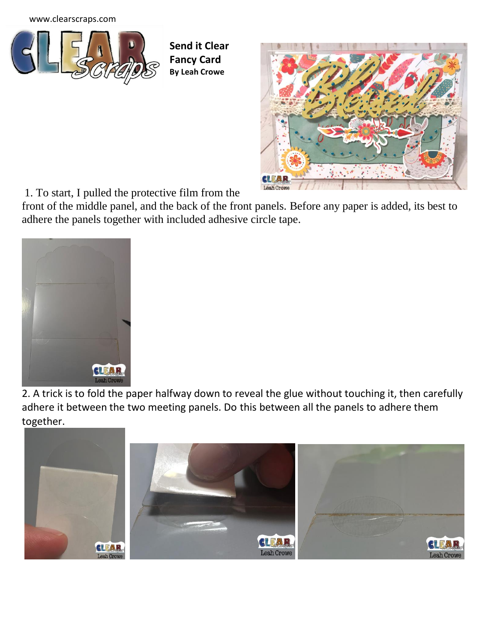[www.clearscraps.com](http://www.clearscraps.com/)



**Send it Clear Fancy Card By Leah Crowe**



1. To start, I pulled the protective film from the

front of the middle panel, and the back of the front panels. Before any paper is added, its best to adhere the panels together with included adhesive circle tape.



2. A trick is to fold the paper halfway down to reveal the glue without touching it, then carefully adhere it between the two meeting panels. Do this between all the panels to adhere them together.

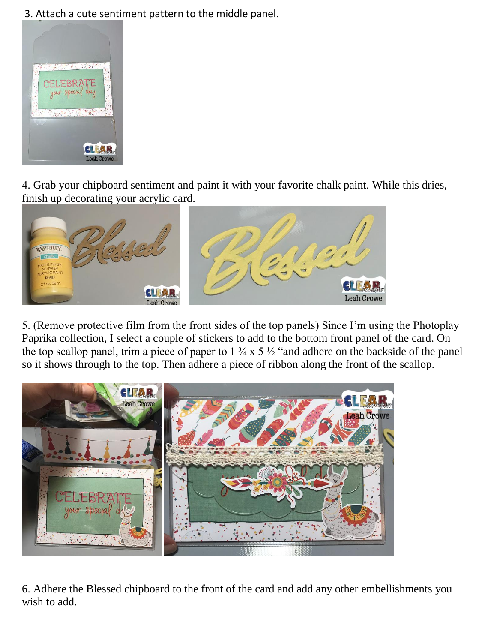3. Attach a cute sentiment pattern to the middle panel.



4. Grab your chipboard sentiment and paint it with your favorite chalk paint. While this dries, finish up decorating your acrylic card.



5. (Remove protective film from the front sides of the top panels) Since I'm using the Photoplay Paprika collection, I select a couple of stickers to add to the bottom front panel of the card. On the top scallop panel, trim a piece of paper to  $1 \frac{3}{4} \times 5 \frac{1}{2}$  "and adhere on the backside of the panel so it shows through to the top. Then adhere a piece of ribbon along the front of the scallop.



6. Adhere the Blessed chipboard to the front of the card and add any other embellishments you wish to add.